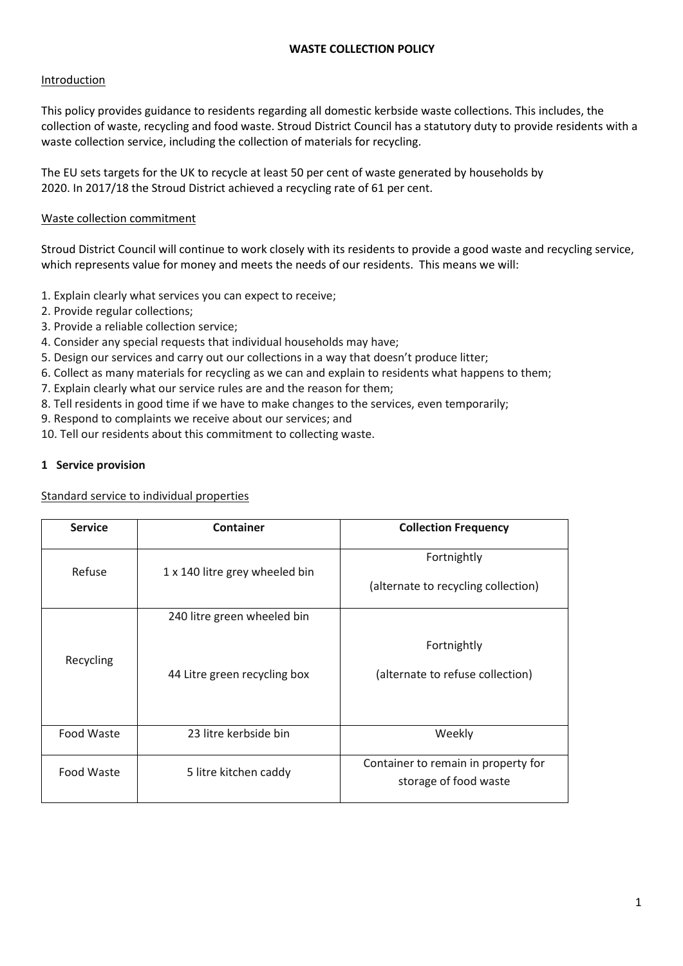### **WASTE COLLECTION POLICY**

### Introduction

This policy provides guidance to residents regarding all domestic kerbside waste collections. This includes, the collection of waste, recycling and food waste. Stroud District Council has a statutory duty to provide residents with a waste collection service, including the collection of materials for recycling.

The EU sets targets for the UK to recycle at least 50 per cent of waste generated by households by 2020. In 2017/18 the Stroud District achieved a recycling rate of 61 per cent.

### Waste collection commitment

Stroud District Council will continue to work closely with its residents to provide a good waste and recycling service, which represents value for money and meets the needs of our residents. This means we will:

- 1. Explain clearly what services you can expect to receive;
- 2. Provide regular collections;
- 3. Provide a reliable collection service;
- 4. Consider any special requests that individual households may have;
- 5. Design our services and carry out our collections in a way that doesn't produce litter;
- 6. Collect as many materials for recycling as we can and explain to residents what happens to them;
- 7. Explain clearly what our service rules are and the reason for them;
- 8. Tell residents in good time if we have to make changes to the services, even temporarily;
- 9. Respond to complaints we receive about our services; and
- 10. Tell our residents about this commitment to collecting waste.

#### **1 Service provision**

Standard service to individual properties

| <b>Service</b>                      | Container                                                   | <b>Collection Frequency</b>                                  |
|-------------------------------------|-------------------------------------------------------------|--------------------------------------------------------------|
| Refuse                              | 1 x 140 litre grey wheeled bin                              | Fortnightly<br>(alternate to recycling collection)           |
| Recycling                           | 240 litre green wheeled bin<br>44 Litre green recycling box | Fortnightly<br>(alternate to refuse collection)              |
| Food Waste                          | 23 litre kerbside bin                                       | Weekly                                                       |
| Food Waste<br>5 litre kitchen caddy |                                                             | Container to remain in property for<br>storage of food waste |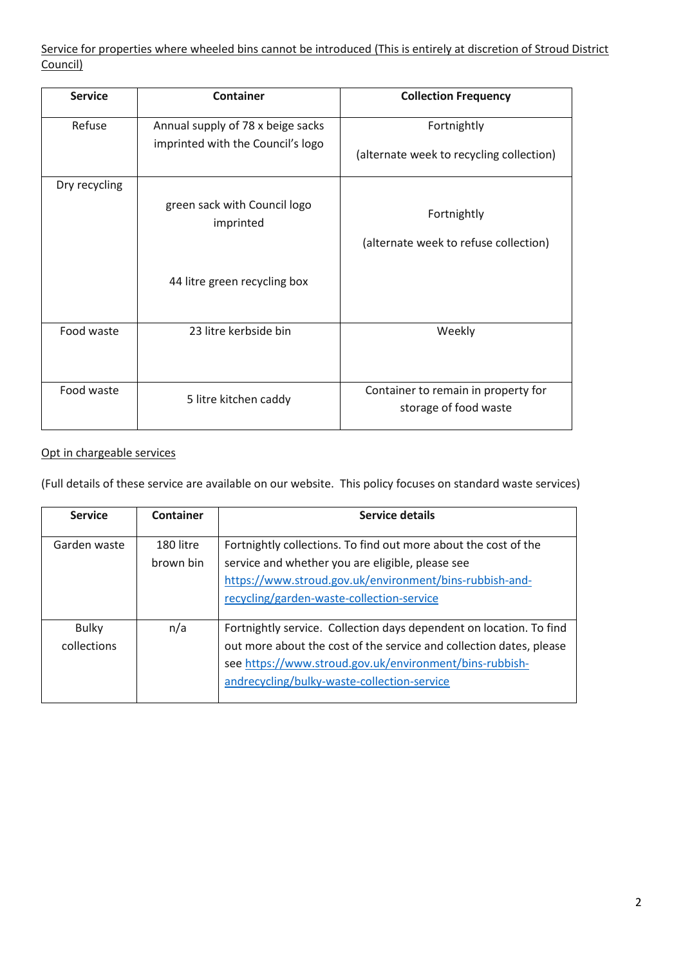Service for properties where wheeled bins cannot be introduced (This is entirely at discretion of Stroud District Council)

| <b>Service</b> | <b>Container</b>                                                          | <b>Collection Frequency</b>                                  |
|----------------|---------------------------------------------------------------------------|--------------------------------------------------------------|
| Refuse         | Annual supply of 78 x beige sacks<br>imprinted with the Council's logo    | Fortnightly<br>(alternate week to recycling collection)      |
| Dry recycling  | green sack with Council logo<br>imprinted<br>44 litre green recycling box | Fortnightly<br>(alternate week to refuse collection)         |
| Food waste     | 23 litre kerbside bin                                                     | Weekly                                                       |
| Food waste     | 5 litre kitchen caddy                                                     | Container to remain in property for<br>storage of food waste |

# Opt in chargeable services

(Full details of these service are available on our website. This policy focuses on standard waste services)

| <b>Service</b>              | Container              | <b>Service details</b>                                                                                                                                                                                                                               |
|-----------------------------|------------------------|------------------------------------------------------------------------------------------------------------------------------------------------------------------------------------------------------------------------------------------------------|
| Garden waste                | 180 litre<br>brown bin | Fortnightly collections. To find out more about the cost of the<br>service and whether you are eligible, please see<br>https://www.stroud.gov.uk/environment/bins-rubbish-and-<br>recycling/garden-waste-collection-service                          |
| <b>Bulky</b><br>collections | n/a                    | Fortnightly service. Collection days dependent on location. To find<br>out more about the cost of the service and collection dates, please<br>see https://www.stroud.gov.uk/environment/bins-rubbish-<br>andrecycling/bulky-waste-collection-service |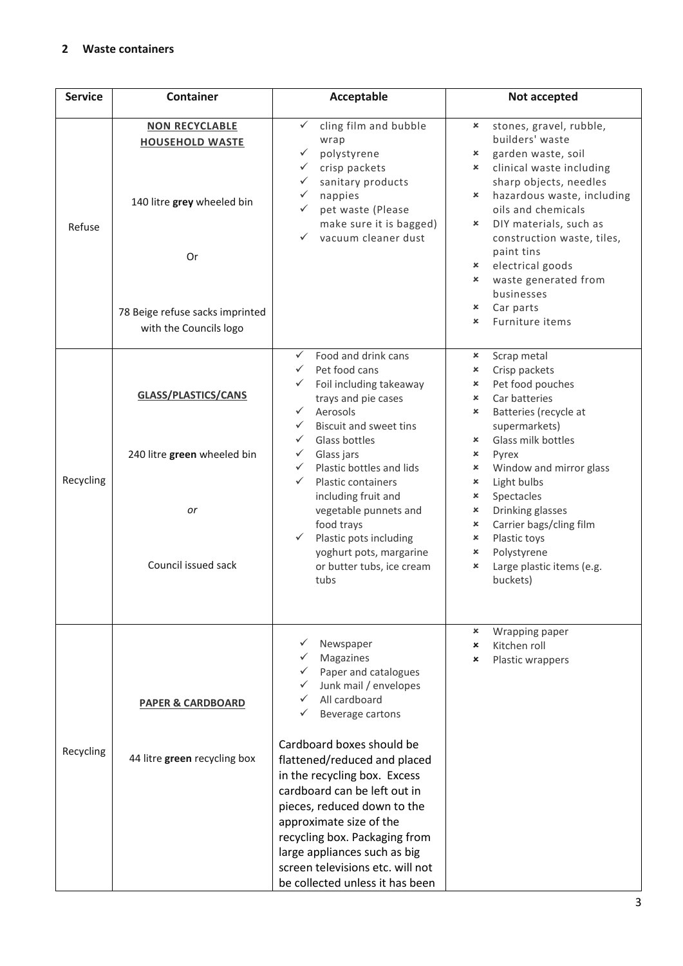### **2 Waste containers**

| <b>Service</b> | <b>Container</b>                                                                                                                                 | Acceptable                                                                                                                                                                                                                                                                                                                                                                                                                                                                                                                          | Not accepted                                                                                                                                                                                                                                                                                                                                                                                                                                                                                           |
|----------------|--------------------------------------------------------------------------------------------------------------------------------------------------|-------------------------------------------------------------------------------------------------------------------------------------------------------------------------------------------------------------------------------------------------------------------------------------------------------------------------------------------------------------------------------------------------------------------------------------------------------------------------------------------------------------------------------------|--------------------------------------------------------------------------------------------------------------------------------------------------------------------------------------------------------------------------------------------------------------------------------------------------------------------------------------------------------------------------------------------------------------------------------------------------------------------------------------------------------|
| Refuse         | <b>NON RECYCLABLE</b><br><b>HOUSEHOLD WASTE</b><br>140 litre grey wheeled bin<br>Or<br>78 Beige refuse sacks imprinted<br>with the Councils logo | cling film and bubble<br>wrap<br>polystyrene<br>crisp packets<br>$\checkmark$<br>sanitary products<br>$\checkmark$<br>nappies<br>✓<br>pet waste (Please<br>✓<br>make sure it is bagged)<br>vacuum cleaner dust                                                                                                                                                                                                                                                                                                                      | stones, gravel, rubble,<br>×<br>builders' waste<br>garden waste, soil<br>×<br>clinical waste including<br>×<br>sharp objects, needles<br>hazardous waste, including<br>×<br>oils and chemicals<br>DIY materials, such as<br>×<br>construction waste, tiles,<br>paint tins<br>electrical goods<br>$\boldsymbol{\mathsf{x}}$<br>waste generated from<br>×<br>businesses<br>Car parts<br>×<br>Furniture items<br>×                                                                                        |
| Recycling      | <b>GLASS/PLASTICS/CANS</b><br>240 litre green wheeled bin<br>or<br>Council issued sack                                                           | Food and drink cans<br>$\checkmark$<br>Pet food cans<br>$\checkmark$<br>Foil including takeaway<br>$\checkmark$<br>trays and pie cases<br>Aerosols<br>$\checkmark$<br><b>Biscuit and sweet tins</b><br>$\checkmark$<br>$\checkmark$<br>Glass bottles<br>Glass jars<br>$\checkmark$<br>Plastic bottles and lids<br>$\checkmark$<br>$\checkmark$<br><b>Plastic containers</b><br>including fruit and<br>vegetable punnets and<br>food trays<br>Plastic pots including<br>yoghurt pots, margarine<br>or butter tubs, ice cream<br>tubs | Scrap metal<br>×<br>Crisp packets<br>×<br>Pet food pouches<br>$\pmb{\times}$<br>Car batteries<br>$\mathsf{x}$<br>Batteries (recycle at<br>$\pmb{\times}$<br>supermarkets)<br>Glass milk bottles<br>$\boldsymbol{\mathsf{x}}$<br>×<br>Pyrex<br>Window and mirror glass<br>×<br>Light bulbs<br>$\boldsymbol{\mathsf{x}}$<br>Spectacles<br>×<br>Drinking glasses<br>×<br>Carrier bags/cling film<br>×<br>Plastic toys<br>×<br>Polystyrene<br>×<br>Large plastic items (e.g.<br>$\pmb{\times}$<br>buckets) |
| Recycling      | <b>PAPER &amp; CARDBOARD</b><br>44 litre green recycling box                                                                                     | Newspaper<br>Magazines<br>Paper and catalogues<br>Junk mail / envelopes<br>All cardboard<br>Beverage cartons<br>Cardboard boxes should be<br>flattened/reduced and placed<br>in the recycling box. Excess<br>cardboard can be left out in<br>pieces, reduced down to the<br>approximate size of the<br>recycling box. Packaging from<br>large appliances such as big<br>screen televisions etc. will not<br>be collected unless it has been                                                                                         | Wrapping paper<br>×<br>Kitchen roll<br>×<br>Plastic wrappers<br>$\mathbf x$                                                                                                                                                                                                                                                                                                                                                                                                                            |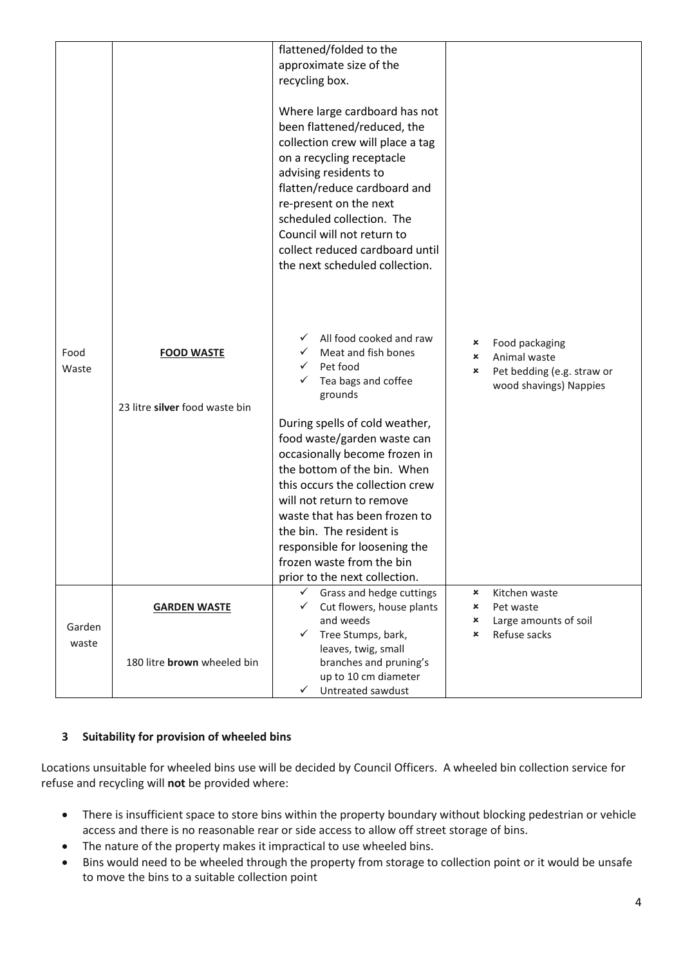|                 |                                                     | flattened/folded to the<br>approximate size of the<br>recycling box.<br>Where large cardboard has not<br>been flattened/reduced, the<br>collection crew will place a tag<br>on a recycling receptacle<br>advising residents to<br>flatten/reduce cardboard and<br>re-present on the next<br>scheduled collection. The<br>Council will not return to<br>collect reduced cardboard until<br>the next scheduled collection.                                       |                                                                                                                    |
|-----------------|-----------------------------------------------------|----------------------------------------------------------------------------------------------------------------------------------------------------------------------------------------------------------------------------------------------------------------------------------------------------------------------------------------------------------------------------------------------------------------------------------------------------------------|--------------------------------------------------------------------------------------------------------------------|
| Food<br>Waste   | <b>FOOD WASTE</b><br>23 litre silver food waste bin | All food cooked and raw<br>✓<br>Meat and fish bones<br>Pet food<br>Tea bags and coffee<br>grounds<br>During spells of cold weather,<br>food waste/garden waste can<br>occasionally become frozen in<br>the bottom of the bin. When<br>this occurs the collection crew<br>will not return to remove<br>waste that has been frozen to<br>the bin. The resident is<br>responsible for loosening the<br>frozen waste from the bin<br>prior to the next collection. | Food packaging<br>×<br>Animal waste<br>$\pmb{\times}$<br>Pet bedding (e.g. straw or<br>×<br>wood shavings) Nappies |
| Garden<br>waste | <b>GARDEN WASTE</b><br>180 litre brown wheeled bin  | Grass and hedge cuttings<br>✓<br>Cut flowers, house plants<br>and weeds<br>Tree Stumps, bark,<br>✓<br>leaves, twig, small<br>branches and pruning's<br>up to 10 cm diameter                                                                                                                                                                                                                                                                                    | $\pmb{\times}$<br>Kitchen waste<br>Pet waste<br>×<br>Large amounts of soil<br>×<br>Refuse sacks<br>×               |
|                 |                                                     | Untreated sawdust<br>✓                                                                                                                                                                                                                                                                                                                                                                                                                                         |                                                                                                                    |

## **3 Suitability for provision of wheeled bins**

Locations unsuitable for wheeled bins use will be decided by Council Officers. A wheeled bin collection service for refuse and recycling will **not** be provided where:

- There is insufficient space to store bins within the property boundary without blocking pedestrian or vehicle access and there is no reasonable rear or side access to allow off street storage of bins.
- The nature of the property makes it impractical to use wheeled bins.
- Bins would need to be wheeled through the property from storage to collection point or it would be unsafe to move the bins to a suitable collection point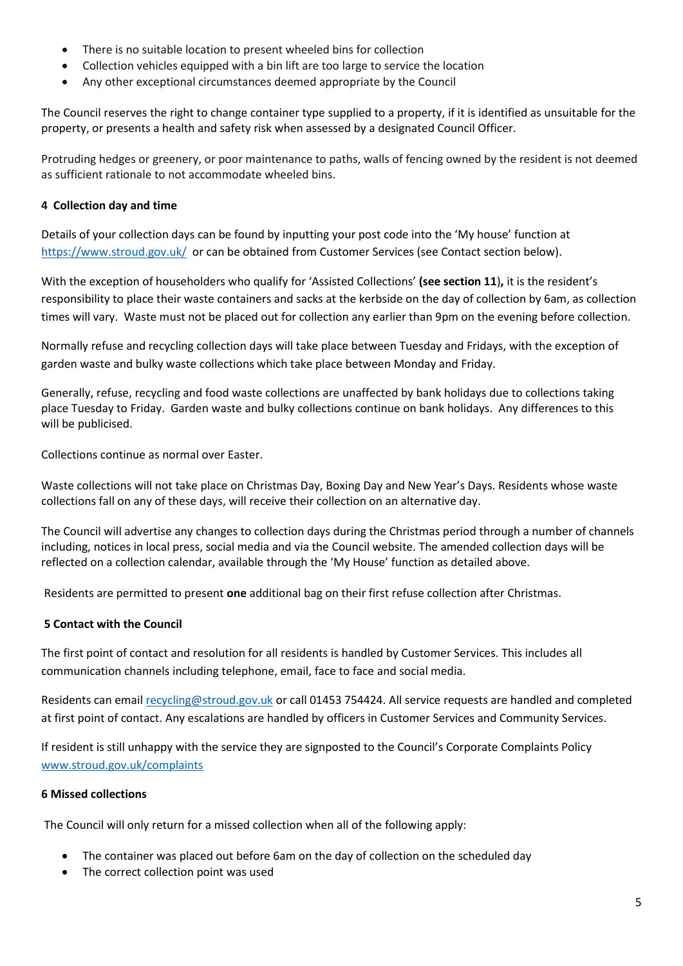- There is no suitable location to present wheeled bins for collection
- Collection vehicles equipped with a bin lift are too large to service the location
- Any other exceptional circumstances deemed appropriate by the Council

The Council reserves the right to change container type supplied to a property, if it is identified as unsuitable for the property, or presents a health and safety risk when assessed by a designated Council Officer.

Protruding hedges or greenery, or poor maintenance to paths, walls of fencing owned by the resident is not deemed as sufficient rationale to not accommodate wheeled bins.

### **4 Collection day and time**

Details of your collection days can be found by inputting your post code into the 'My house' function at <https://www.stroud.gov.uk/>or can be obtained from Customer Services (see Contact section below).

With the exception of householders who qualify for 'Assisted Collections' **(see section 11**)**,** it is the resident's responsibility to place their waste containers and sacks at the kerbside on the day of collection by 6am, as collection times will vary. Waste must not be placed out for collection any earlier than 9pm on the evening before collection.

Normally refuse and recycling collection days will take place between Tuesday and Fridays, with the exception of garden waste and bulky waste collections which take place between Monday and Friday.

Generally, refuse, recycling and food waste collections are unaffected by bank holidays due to collections taking place Tuesday to Friday. Garden waste and bulky collections continue on bank holidays. Any differences to this will be publicised.

Collections continue as normal over Easter.

Waste collections will not take place on Christmas Day, Boxing Day and New Year's Days. Residents whose waste collections fall on any of these days, will receive their collection on an alternative day.

The Council will advertise any changes to collection days during the Christmas period through a number of channels including, notices in local press, social media and via the Council website. The amended collection days will be reflected on a collection calendar, available through the 'My House' function as detailed above.

Residents are permitted to present **one** additional bag on their first refuse collection after Christmas.

### **5 Contact with the Council**

The first point of contact and resolution for all residents is handled by Customer Services. This includes all communication channels including telephone, email, face to face and social media.

Residents can email [recycling@stroud.gov.uk](mailto:recycling@stroud.gov.uk) or call 01453 754424. All service requests are handled and completed at first point of contact. Any escalations are handled by officers in Customer Services and Community Services.

If resident is still unhappy with the service they are signposted to the Council's Corporate Complaints Policy [www.stroud.gov.uk/complaints](http://www.stroud.gov.uk/complaints)

### **6 Missed collections**

The Council will only return for a missed collection when all of the following apply:

- The container was placed out before 6am on the day of collection on the scheduled day
- The correct collection point was used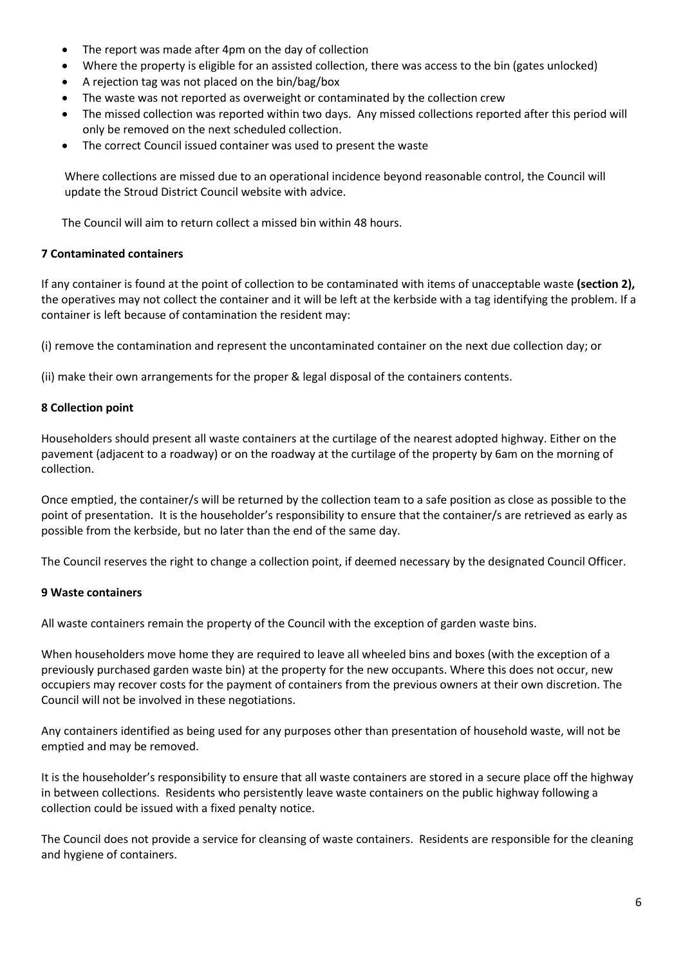- The report was made after 4pm on the day of collection
- Where the property is eligible for an assisted collection, there was access to the bin (gates unlocked)
- A rejection tag was not placed on the bin/bag/box
- The waste was not reported as overweight or contaminated by the collection crew
- The missed collection was reported within two days. Any missed collections reported after this period will only be removed on the next scheduled collection.
- The correct Council issued container was used to present the waste

Where collections are missed due to an operational incidence beyond reasonable control, the Council will update the Stroud District Council website with advice.

The Council will aim to return collect a missed bin within 48 hours.

### **7 Contaminated containers**

If any container is found at the point of collection to be contaminated with items of unacceptable waste **(section 2),** the operatives may not collect the container and it will be left at the kerbside with a tag identifying the problem. If a container is left because of contamination the resident may:

(i) remove the contamination and represent the uncontaminated container on the next due collection day; or

(ii) make their own arrangements for the proper & legal disposal of the containers contents.

### **8 Collection point**

Householders should present all waste containers at the curtilage of the nearest adopted highway. Either on the pavement (adjacent to a roadway) or on the roadway at the curtilage of the property by 6am on the morning of collection.

Once emptied, the container/s will be returned by the collection team to a safe position as close as possible to the point of presentation. It is the householder's responsibility to ensure that the container/s are retrieved as early as possible from the kerbside, but no later than the end of the same day.

The Council reserves the right to change a collection point, if deemed necessary by the designated Council Officer.

### **9 Waste containers**

All waste containers remain the property of the Council with the exception of garden waste bins.

When householders move home they are required to leave all wheeled bins and boxes (with the exception of a previously purchased garden waste bin) at the property for the new occupants. Where this does not occur, new occupiers may recover costs for the payment of containers from the previous owners at their own discretion. The Council will not be involved in these negotiations.

Any containers identified as being used for any purposes other than presentation of household waste, will not be emptied and may be removed.

It is the householder's responsibility to ensure that all waste containers are stored in a secure place off the highway in between collections. Residents who persistently leave waste containers on the public highway following a collection could be issued with a fixed penalty notice.

The Council does not provide a service for cleansing of waste containers. Residents are responsible for the cleaning and hygiene of containers.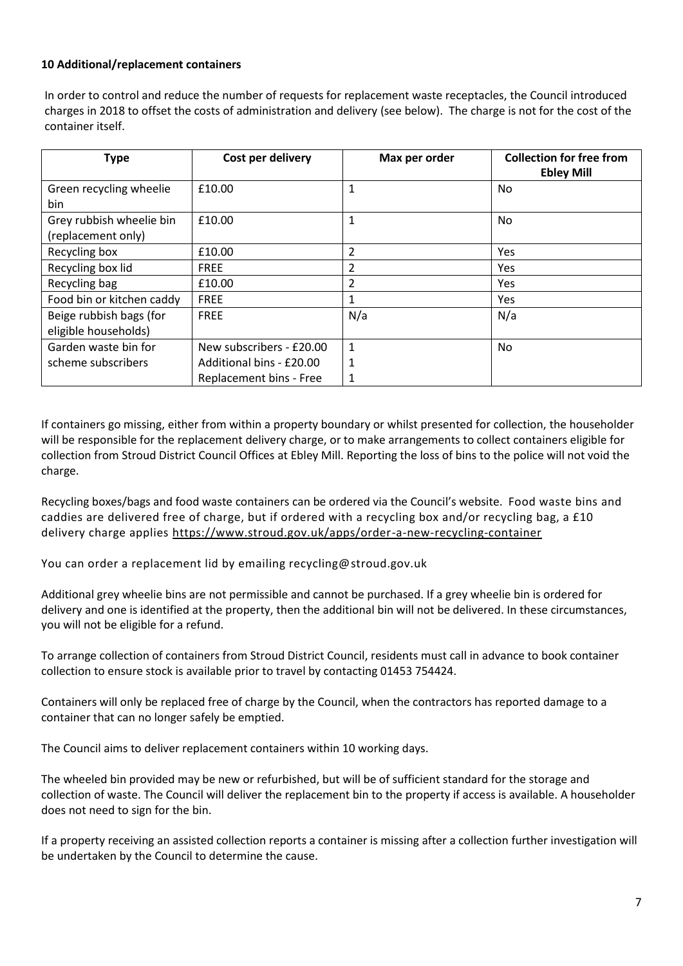#### **10 Additional/replacement containers**

In order to control and reduce the number of requests for replacement waste receptacles, the Council introduced charges in 2018 to offset the costs of administration and delivery (see below). The charge is not for the cost of the container itself.

| <b>Type</b>                                     | Cost per delivery        | Max per order  | <b>Collection for free from</b><br><b>Ebley Mill</b> |
|-------------------------------------------------|--------------------------|----------------|------------------------------------------------------|
| Green recycling wheelie<br>bin                  | £10.00                   | 1              | No.                                                  |
| Grey rubbish wheelie bin<br>(replacement only)  | £10.00                   | 1              | No.                                                  |
| Recycling box                                   | £10.00                   | $\overline{2}$ | <b>Yes</b>                                           |
| Recycling box lid                               | <b>FREE</b>              | 2              | <b>Yes</b>                                           |
| Recycling bag                                   | £10.00                   | 2              | <b>Yes</b>                                           |
| Food bin or kitchen caddy                       | <b>FREE</b>              | 1              | <b>Yes</b>                                           |
| Beige rubbish bags (for<br>eligible households) | <b>FREE</b>              | N/a            | N/a                                                  |
| Garden waste bin for                            | New subscribers - £20.00 | 1              | No.                                                  |
| scheme subscribers                              | Additional bins - £20.00 | 1              |                                                      |
|                                                 | Replacement bins - Free  |                |                                                      |

If containers go missing, either from within a property boundary or whilst presented for collection, the householder will be responsible for the replacement delivery charge, or to make arrangements to collect containers eligible for collection from Stroud District Council Offices at Ebley Mill. Reporting the loss of bins to the police will not void the charge.

Recycling boxes/bags and food waste containers can be ordered via the Council's website. Food waste bins and caddies are delivered free of charge, but if ordered with a recycling box and/or recycling bag, a £10 delivery charge applies<https://www.stroud.gov.uk/apps/order-a-new-recycling-container>

You can order a replacement lid by emailing recycling@stroud.gov.uk

Additional grey wheelie bins are not permissible and cannot be purchased. If a grey wheelie bin is ordered for delivery and one is identified at the property, then the additional bin will not be delivered. In these circumstances, you will not be eligible for a refund.

To arrange collection of containers from Stroud District Council, residents must call in advance to book container collection to ensure stock is available prior to travel by contacting 01453 754424.

Containers will only be replaced free of charge by the Council, when the contractors has reported damage to a container that can no longer safely be emptied.

The Council aims to deliver replacement containers within 10 working days.

The wheeled bin provided may be new or refurbished, but will be of sufficient standard for the storage and collection of waste. The Council will deliver the replacement bin to the property if access is available. A householder does not need to sign for the bin.

If a property receiving an assisted collection reports a container is missing after a collection further investigation will be undertaken by the Council to determine the cause.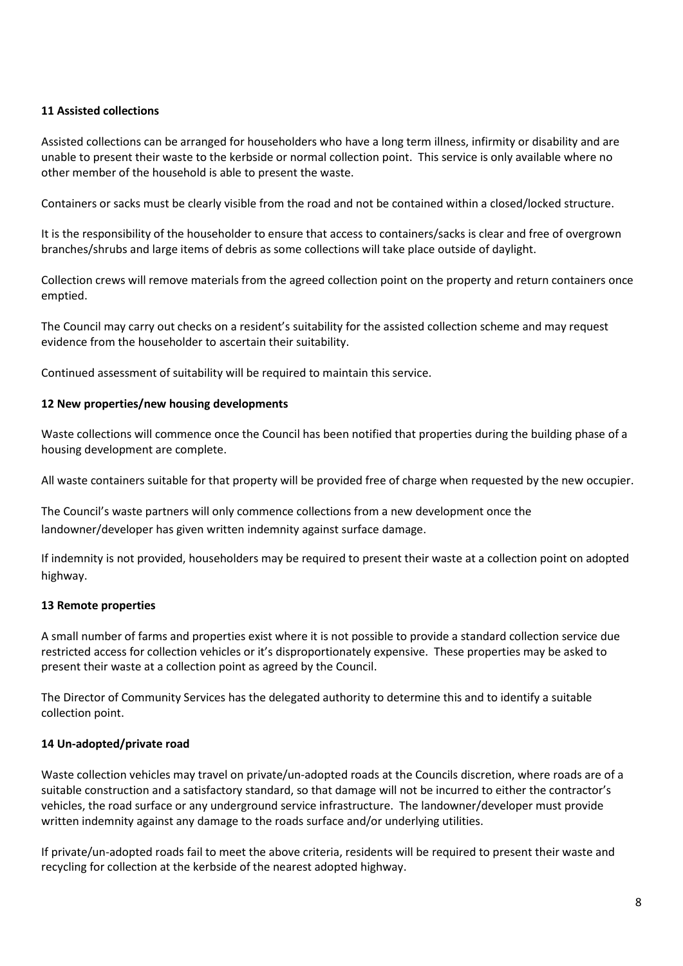### **11 Assisted collections**

Assisted collections can be arranged for householders who have a long term illness, infirmity or disability and are unable to present their waste to the kerbside or normal collection point. This service is only available where no other member of the household is able to present the waste.

Containers or sacks must be clearly visible from the road and not be contained within a closed/locked structure.

It is the responsibility of the householder to ensure that access to containers/sacks is clear and free of overgrown branches/shrubs and large items of debris as some collections will take place outside of daylight.

Collection crews will remove materials from the agreed collection point on the property and return containers once emptied.

The Council may carry out checks on a resident's suitability for the assisted collection scheme and may request evidence from the householder to ascertain their suitability.

Continued assessment of suitability will be required to maintain this service.

### **12 New properties/new housing developments**

Waste collections will commence once the Council has been notified that properties during the building phase of a housing development are complete.

All waste containers suitable for that property will be provided free of charge when requested by the new occupier.

The Council's waste partners will only commence collections from a new development once the landowner/developer has given written indemnity against surface damage.

If indemnity is not provided, householders may be required to present their waste at a collection point on adopted highway.

### **13 Remote properties**

A small number of farms and properties exist where it is not possible to provide a standard collection service due restricted access for collection vehicles or it's disproportionately expensive. These properties may be asked to present their waste at a collection point as agreed by the Council.

The Director of Community Services has the delegated authority to determine this and to identify a suitable collection point.

### **14 Un-adopted/private road**

Waste collection vehicles may travel on private/un-adopted roads at the Councils discretion, where roads are of a suitable construction and a satisfactory standard, so that damage will not be incurred to either the contractor's vehicles, the road surface or any underground service infrastructure. The landowner/developer must provide written indemnity against any damage to the roads surface and/or underlying utilities.

If private/un-adopted roads fail to meet the above criteria, residents will be required to present their waste and recycling for collection at the kerbside of the nearest adopted highway.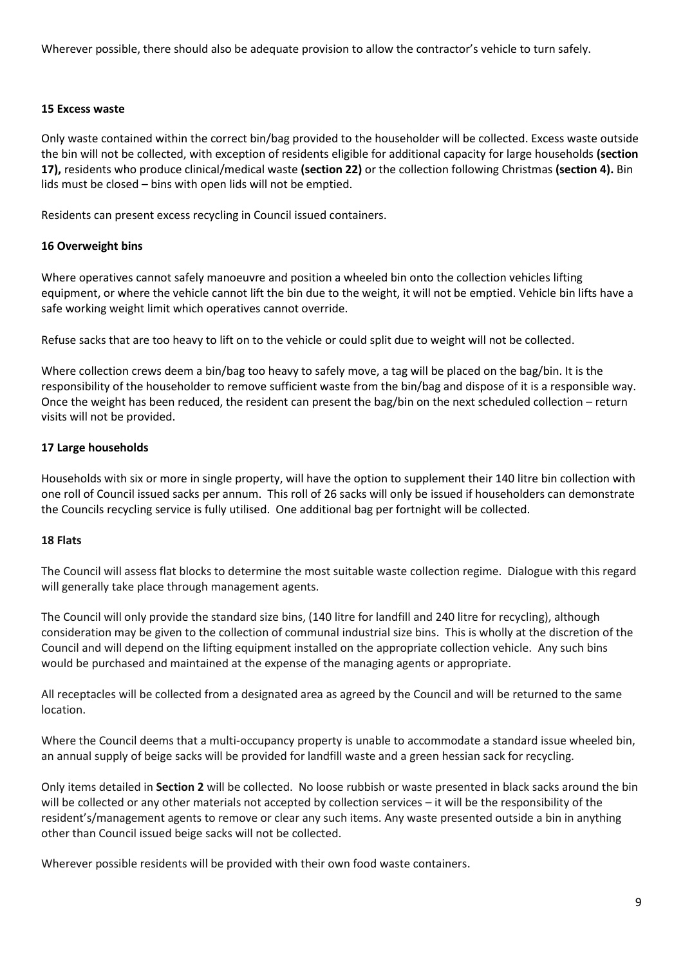Wherever possible, there should also be adequate provision to allow the contractor's vehicle to turn safely.

#### **15 Excess waste**

Only waste contained within the correct bin/bag provided to the householder will be collected. Excess waste outside the bin will not be collected, with exception of residents eligible for additional capacity for large households **(section 17),** residents who produce clinical/medical waste **(section 22)** or the collection following Christmas **(section 4).** Bin lids must be closed – bins with open lids will not be emptied.

Residents can present excess recycling in Council issued containers.

### **16 Overweight bins**

Where operatives cannot safely manoeuvre and position a wheeled bin onto the collection vehicles lifting equipment, or where the vehicle cannot lift the bin due to the weight, it will not be emptied. Vehicle bin lifts have a safe working weight limit which operatives cannot override.

Refuse sacks that are too heavy to lift on to the vehicle or could split due to weight will not be collected.

Where collection crews deem a bin/bag too heavy to safely move, a tag will be placed on the bag/bin. It is the responsibility of the householder to remove sufficient waste from the bin/bag and dispose of it is a responsible way. Once the weight has been reduced, the resident can present the bag/bin on the next scheduled collection – return visits will not be provided.

### **17 Large households**

Households with six or more in single property, will have the option to supplement their 140 litre bin collection with one roll of Council issued sacks per annum. This roll of 26 sacks will only be issued if householders can demonstrate the Councils recycling service is fully utilised. One additional bag per fortnight will be collected.

#### **18 Flats**

The Council will assess flat blocks to determine the most suitable waste collection regime. Dialogue with this regard will generally take place through management agents.

The Council will only provide the standard size bins, (140 litre for landfill and 240 litre for recycling), although consideration may be given to the collection of communal industrial size bins. This is wholly at the discretion of the Council and will depend on the lifting equipment installed on the appropriate collection vehicle. Any such bins would be purchased and maintained at the expense of the managing agents or appropriate.

All receptacles will be collected from a designated area as agreed by the Council and will be returned to the same location.

Where the Council deems that a multi-occupancy property is unable to accommodate a standard issue wheeled bin, an annual supply of beige sacks will be provided for landfill waste and a green hessian sack for recycling.

Only items detailed in **Section 2** will be collected. No loose rubbish or waste presented in black sacks around the bin will be collected or any other materials not accepted by collection services – it will be the responsibility of the resident's/management agents to remove or clear any such items. Any waste presented outside a bin in anything other than Council issued beige sacks will not be collected.

Wherever possible residents will be provided with their own food waste containers.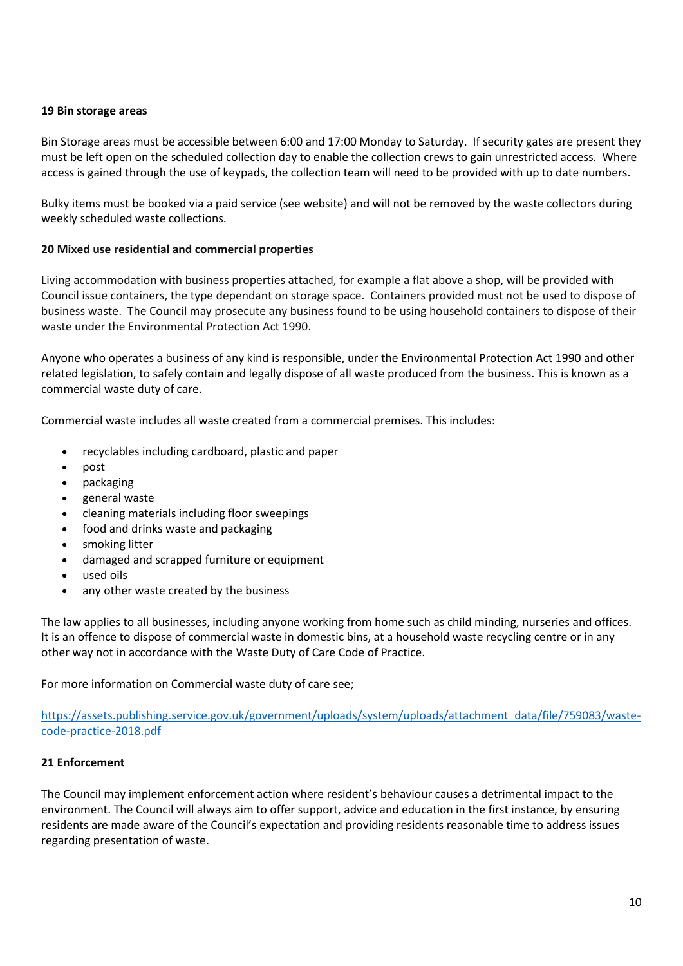#### **19 Bin storage areas**

Bin Storage areas must be accessible between 6:00 and 17:00 Monday to Saturday. If security gates are present they must be left open on the scheduled collection day to enable the collection crews to gain unrestricted access. Where access is gained through the use of keypads, the collection team will need to be provided with up to date numbers.

Bulky items must be booked via a paid service (see website) and will not be removed by the waste collectors during weekly scheduled waste collections.

### **20 Mixed use residential and commercial properties**

Living accommodation with business properties attached, for example a flat above a shop, will be provided with Council issue containers, the type dependant on storage space. Containers provided must not be used to dispose of business waste. The Council may prosecute any business found to be using household containers to dispose of their waste under the Environmental Protection Act 1990.

Anyone who operates a business of any kind is responsible, under the Environmental Protection Act 1990 and other related legislation, to safely contain and legally dispose of all waste produced from the business. This is known as a [commercial waste duty of care.](https://www.gov.uk/managing-your-waste-an-overview/your-responsibilities)

Commercial waste includes all waste created from a commercial premises. This includes:

- recyclables including cardboard, plastic and paper
- post
- packaging
- general waste
- cleaning materials including floor sweepings
- food and drinks waste and packaging
- smoking litter
- damaged and scrapped furniture or equipment
- used oils
- any other waste created by the business

The law applies to all businesses, including anyone working from home such as child minding, nurseries and offices. It is an offence to dispose of commercial waste in domestic bins, at a household waste recycling centre or in any other way not in accordance with th[e Waste Duty of Care Code of Practice.](https://www.gov.uk/government/uploads/system/uploads/attachment_data/file/506917/waste-duty-care-code-practice-2016.pdf)

For more information on Commercial waste duty of care see;

[https://assets.publishing.service.gov.uk/government/uploads/system/uploads/attachment\\_data/file/759083/waste](https://assets.publishing.service.gov.uk/government/uploads/system/uploads/attachment_data/file/759083/waste-code-practice-2018.pdf)[code-practice-2018.pdf](https://assets.publishing.service.gov.uk/government/uploads/system/uploads/attachment_data/file/759083/waste-code-practice-2018.pdf)

#### **21 Enforcement**

The Council may implement enforcement action where resident's behaviour causes a detrimental impact to the environment. The Council will always aim to offer support, advice and education in the first instance, by ensuring residents are made aware of the Council's expectation and providing residents reasonable time to address issues regarding presentation of waste.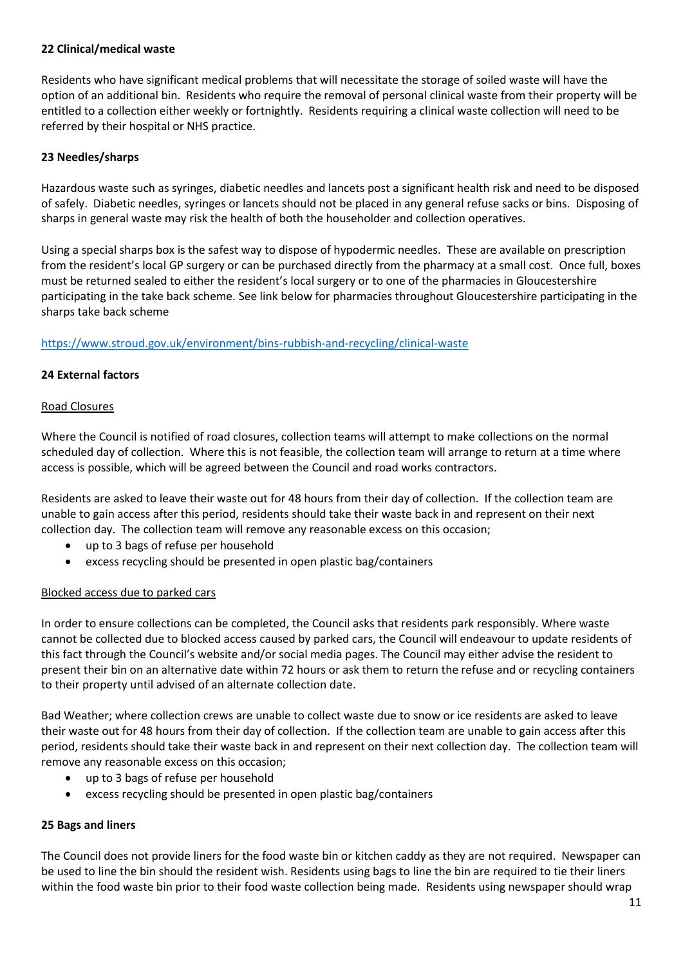#### **22 Clinical/medical waste**

Residents who have significant medical problems that will necessitate the storage of soiled waste will have the option of an additional bin. Residents who require the removal of personal clinical waste from their property will be entitled to a collection either weekly or fortnightly. Residents requiring a clinical waste collection will need to be referred by their hospital or NHS practice.

### **23 Needles/sharps**

Hazardous waste such as syringes, diabetic needles and lancets post a significant health risk and need to be disposed of safely. Diabetic needles, syringes or lancets should not be placed in any general refuse sacks or bins. Disposing of sharps in general waste may risk the health of both the householder and collection operatives.

Using a special sharps box is the safest way to dispose of hypodermic needles. These are available on prescription from the resident's local GP surgery or can be purchased directly from the pharmacy at a small cost. Once full, boxes must be returned sealed to either the resident's local surgery or to one of the pharmacies in Gloucestershire participating in the take back scheme. See link below for pharmacies throughout Gloucestershire participating in the sharps take back scheme

<https://www.stroud.gov.uk/environment/bins-rubbish-and-recycling/clinical-waste>

### **24 External factors**

### Road Closures

Where the Council is notified of road closures, collection teams will attempt to make collections on the normal scheduled day of collection. Where this is not feasible, the collection team will arrange to return at a time where access is possible, which will be agreed between the Council and road works contractors.

Residents are asked to leave their waste out for 48 hours from their day of collection. If the collection team are unable to gain access after this period, residents should take their waste back in and represent on their next collection day. The collection team will remove any reasonable excess on this occasion;

- up to 3 bags of refuse per household
- excess recycling should be presented in open plastic bag/containers

### Blocked access due to parked cars

In order to ensure collections can be completed, the Council asks that residents park responsibly. Where waste cannot be collected due to blocked access caused by parked cars, the Council will endeavour to update residents of this fact through the Council's website and/or social media pages. The Council may either advise the resident to present their bin on an alternative date within 72 hours or ask them to return the refuse and or recycling containers to their property until advised of an alternate collection date.

Bad Weather; where collection crews are unable to collect waste due to snow or ice residents are asked to leave their waste out for 48 hours from their day of collection. If the collection team are unable to gain access after this period, residents should take their waste back in and represent on their next collection day. The collection team will remove any reasonable excess on this occasion;

- up to 3 bags of refuse per household
- excess recycling should be presented in open plastic bag/containers

#### **25 Bags and liners**

The Council does not provide liners for the food waste bin or kitchen caddy as they are not required. Newspaper can be used to line the bin should the resident wish. Residents using bags to line the bin are required to tie their liners within the food waste bin prior to their food waste collection being made. Residents using newspaper should wrap